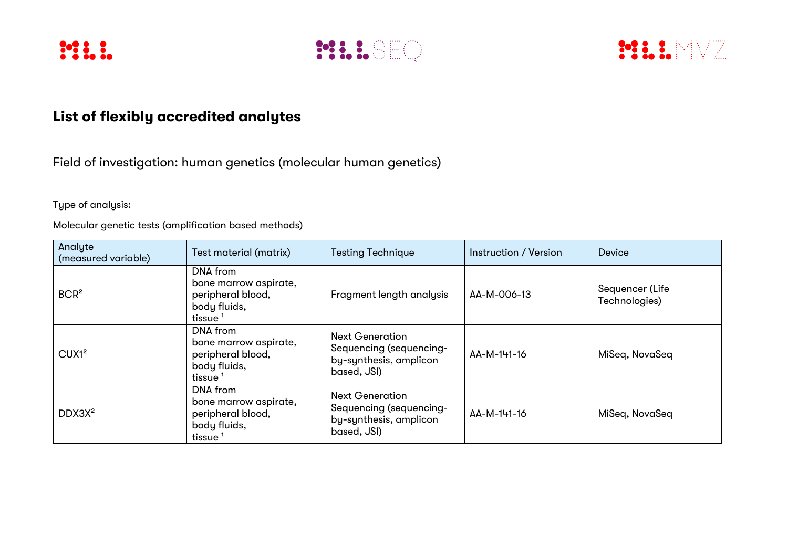





## **List of flexibly accredited analytes**

Field of investigation: human genetics (molecular human genetics)

Type of analysis:

Molecular genetic tests (amplification based methods)

| Analyte<br>(measured variable) | Test material (matrix)                                                                        | <b>Testing Technique</b>                                                                   | Instruction / Version | <b>Device</b>                    |
|--------------------------------|-----------------------------------------------------------------------------------------------|--------------------------------------------------------------------------------------------|-----------------------|----------------------------------|
| BCR <sup>2</sup>               | DNA from<br>bone marrow aspirate,<br>peripheral blood,<br>body fluids,<br>tissue <sup>1</sup> | Fragment length analysis                                                                   | AA-M-006-13           | Sequencer (Life<br>Technologies) |
| CUX1 <sup>2</sup>              | DNA from<br>bone marrow aspirate,<br>peripheral blood,<br>body fluids,<br>tissue <sup>1</sup> | <b>Next Generation</b><br>Sequencing (sequencing-<br>by-synthesis, amplicon<br>based, JSI) | AA-M-141-16           | MiSeq, NovaSeq                   |
| DDX3X <sup>2</sup>             | DNA from<br>bone marrow aspirate,<br>peripheral blood,<br>body fluids,<br>tissue <sup>1</sup> | <b>Next Generation</b><br>Sequencing (sequencing-<br>by-synthesis, amplicon<br>based, JSI) | AA-M-141-16           | MiSeq, NovaSeq                   |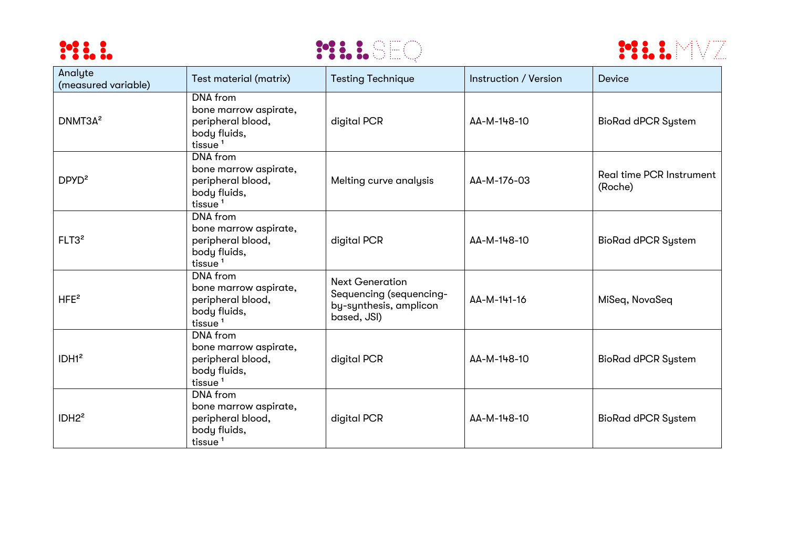





| Analyte<br>(measured variable) | Test material (matrix)                                                                               | <b>Testing Technique</b>                                                                   | Instruction / Version | Device                                     |
|--------------------------------|------------------------------------------------------------------------------------------------------|--------------------------------------------------------------------------------------------|-----------------------|--------------------------------------------|
| DNMT3A <sup>2</sup>            | DNA from<br>bone marrow aspirate,<br>peripheral blood,<br>body fluids,<br>tissue <sup>1</sup>        | digital PCR                                                                                | AA-M-148-10           | <b>BioRad dPCR System</b>                  |
| DPYD <sup>2</sup>              | <b>DNA</b> from<br>bone marrow aspirate,<br>peripheral blood,<br>body fluids,<br>tissue <sup>1</sup> | Melting curve analysis                                                                     | AA-M-176-03           | <b>Real time PCR Instrument</b><br>(Roche) |
| FLT3 <sup>2</sup>              | DNA from<br>bone marrow aspirate,<br>peripheral blood,<br>body fluids,<br>tissue $1$                 | digital PCR                                                                                | AA-M-148-10           | <b>BioRad dPCR System</b>                  |
| HFE <sup>2</sup>               | DNA from<br>bone marrow aspirate,<br>peripheral blood,<br>body fluids,<br>tissue $1$                 | <b>Next Generation</b><br>Sequencing (sequencing-<br>by-synthesis, amplicon<br>based, JSI) | AA-M-141-16           | MiSeq, NovaSeq                             |
| IDH1 <sup>2</sup>              | DNA from<br>bone marrow aspirate,<br>peripheral blood,<br>body fluids,<br>tissue <sup>1</sup>        | digital PCR                                                                                | AA-M-148-10           | <b>BioRad dPCR System</b>                  |
| IDH2 <sup>2</sup>              | DNA from<br>bone marrow aspirate,<br>peripheral blood,<br>body fluids,<br>tissue <sup>1</sup>        | digital PCR                                                                                | AA-M-148-10           | <b>BioRad dPCR System</b>                  |